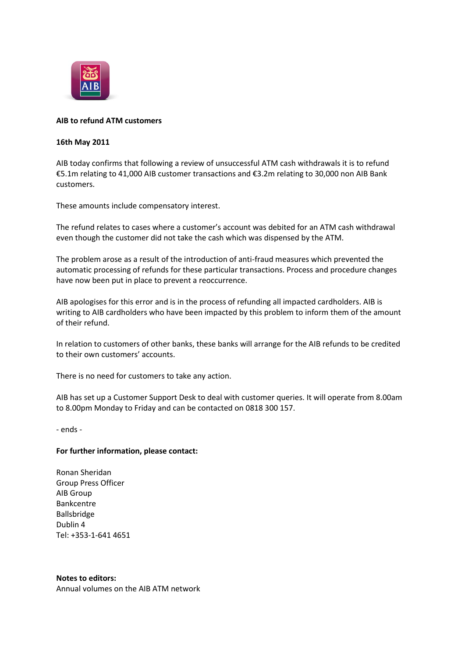

## **AIB to refund ATM customers**

## **16th May 2011**

AIB today confirms that following a review of unsuccessful ATM cash withdrawals it is to refund €5.1m relating to 41,000 AIB customer transactions and €3.2m relating to 30,000 non AIB Bank customers.

These amounts include compensatory interest.

The refund relates to cases where a customer's account was debited for an ATM cash withdrawal even though the customer did not take the cash which was dispensed by the ATM.

The problem arose as a result of the introduction of anti-fraud measures which prevented the automatic processing of refunds for these particular transactions. Process and procedure changes have now been put in place to prevent a reoccurrence.

AIB apologises for this error and is in the process of refunding all impacted cardholders. AIB is writing to AIB cardholders who have been impacted by this problem to inform them of the amount of their refund.

In relation to customers of other banks, these banks will arrange for the AIB refunds to be credited to their own customers' accounts.

There is no need for customers to take any action.

AIB has set up a Customer Support Desk to deal with customer queries. It will operate from 8.00am to 8.00pm Monday to Friday and can be contacted on 0818 300 157.

- ends -

## **For further information, please contact:**

Ronan Sheridan Group Press Officer AIB Group Bankcentre Ballsbridge Dublin 4 Tel: +353-1-641 4651

**Notes to editors:**

Annual volumes on the AIB ATM network